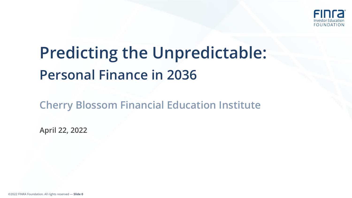

# **Predicting the Unpredictable: Personal Finance in 2036**

**Cherry Blossom Financial Education Institute**

**April 22, 2022**

©2022 FINRA Foundation. All rights reserved — **Slide 0**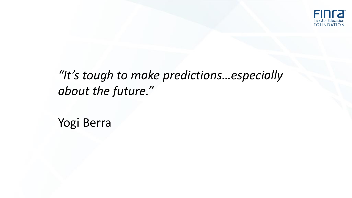

## *"It's tough to make predictions…especially about the future."*

Yogi Berra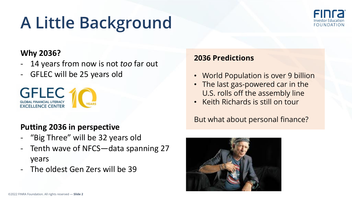# **A Little Background**



#### **Why 2036?**

- 14 years from now is not *too* far out - GFLEC will be 25 years old



#### **Putting 2036 in perspective**

- "Big Three" will be 32 years old
- Tenth wave of NFCS—data spanning 27 years
- The oldest Gen Zers will be 39

#### **2036 Predictions**

- World Population is over 9 billion
- The last gas-powered car in the U.S. rolls off the assembly line
- Keith Richards is still on tour

#### But what about personal finance?

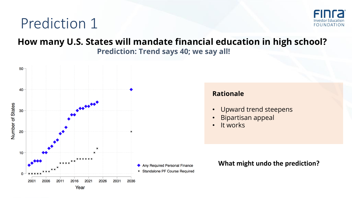

#### **How many U.S. States will mandate financial education in high school? Prediction: Trend says 40; we say all!**

**Rationale**

• It works

• Upward trend steepens

**What might undo the prediction?**

• Bipartisan appeal

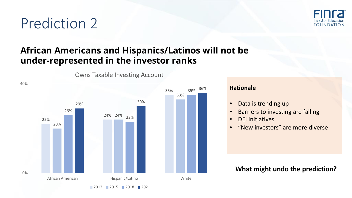

## **African Americans and Hispanics/Latinos will not be under-represented in the investor ranks**



Owns Taxable Investing Account

#### **Rationale**

- Data is trending up
- Barriers to investing are falling
- DEI initiatives
- "New investors" are more diverse

**What might undo the prediction?**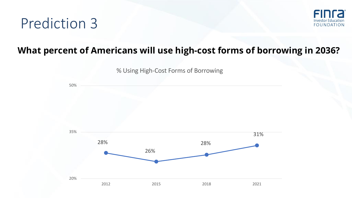

## **What percent of Americans will use high-cost forms of borrowing in 2036?**

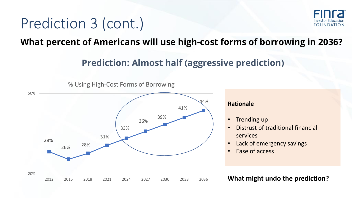## Prediction 3 (cont.)



**What percent of Americans will use high-cost forms of borrowing in 2036?**

## **Prediction: Almost half (aggressive prediction)**



% Using High-Cost Forms of Borrowing

#### **Rationale**

- Trending up
- Distrust of traditional financial services
- Lack of emergency savings
- Ease of access

#### **What might undo the prediction?**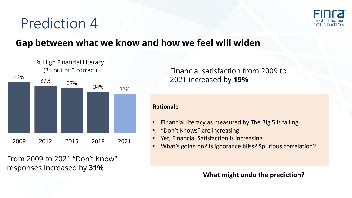

## **Gap between what we know and how we feel will widen**



From 2009 to 2021 "Don't Know" responses Increased by **31%**

Financial satisfaction from 2009 to 2021 increased by **19%**

#### **Rationale**

- Financial literacy as measured by The Big 5 is falling
- "Don't Knows" are increasing
- Yet, Financial Satisfaction is increasing
- What's going on? Is ignorance bliss? Spurious correlation?

**What might undo the prediction?**